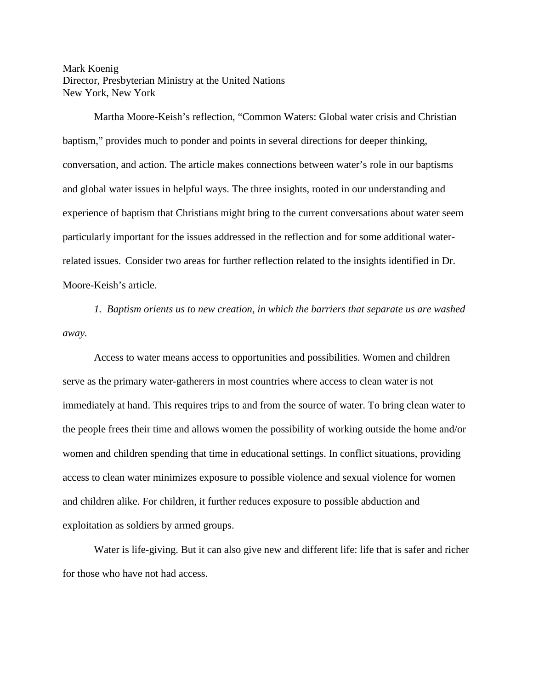## Mark Koenig Director, Presbyterian Ministry at the United Nations New York, New York

Martha Moore-Keish's reflection, "Common Waters: Global water crisis and Christian baptism," provides much to ponder and points in several directions for deeper thinking, conversation, and action. The article makes connections between water's role in our baptisms and global water issues in helpful ways. The three insights, rooted in our understanding and experience of baptism that Christians might bring to the current conversations about water seem particularly important for the issues addressed in the reflection and for some additional waterrelated issues. Consider two areas for further reflection related to the insights identified in Dr. Moore-Keish's article.

*1. Baptism orients us to new creation, in which the barriers that separate us are washed away.*

Access to water means access to opportunities and possibilities. Women and children serve as the primary water-gatherers in most countries where access to clean water is not immediately at hand. This requires trips to and from the source of water. To bring clean water to the people frees their time and allows women the possibility of working outside the home and/or women and children spending that time in educational settings. In conflict situations, providing access to clean water minimizes exposure to possible violence and sexual violence for women and children alike. For children, it further reduces exposure to possible abduction and exploitation as soldiers by armed groups.

Water is life-giving. But it can also give new and different life: life that is safer and richer for those who have not had access.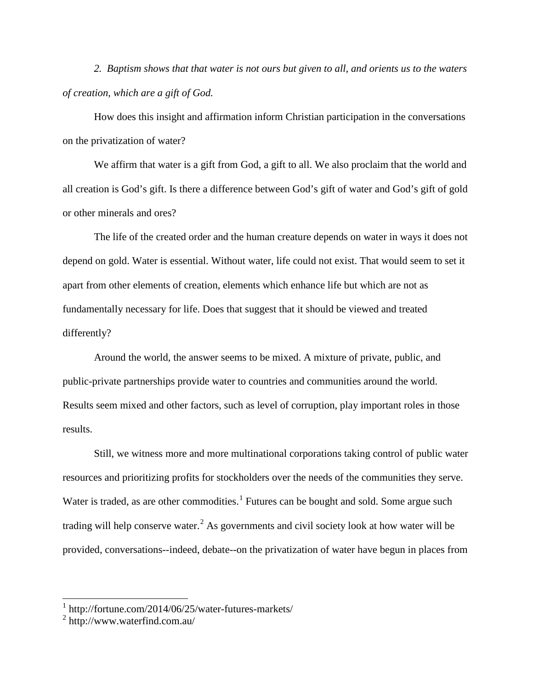*2. Baptism shows that that water is not ours but given to all, and orients us to the waters of creation, which are a gift of God.*

How does this insight and affirmation inform Christian participation in the conversations on the privatization of water?

We affirm that water is a gift from God, a gift to all. We also proclaim that the world and all creation is God's gift. Is there a difference between God's gift of water and God's gift of gold or other minerals and ores?

The life of the created order and the human creature depends on water in ways it does not depend on gold. Water is essential. Without water, life could not exist. That would seem to set it apart from other elements of creation, elements which enhance life but which are not as fundamentally necessary for life. Does that suggest that it should be viewed and treated differently?

Around the world, the answer seems to be mixed. A mixture of private, public, and public-private partnerships provide water to countries and communities around the world. Results seem mixed and other factors, such as level of corruption, play important roles in those results.

Still, we witness more and more multinational corporations taking control of public water resources and prioritizing profits for stockholders over the needs of the communities they serve. Water is traded, as are other commodities.<sup>[1](#page-1-0)</sup> Futures can be bought and sold. Some argue such trading will help conserve water.<sup>[2](#page-1-1)</sup> As governments and civil society look at how water will be provided, conversations--indeed, debate--on the privatization of water have begun in places from

<span id="page-1-0"></span><sup>1</sup> http://fortune.com/2014/06/25/water-futures-markets/

<span id="page-1-1"></span> $2$  http://www.waterfind.com.au/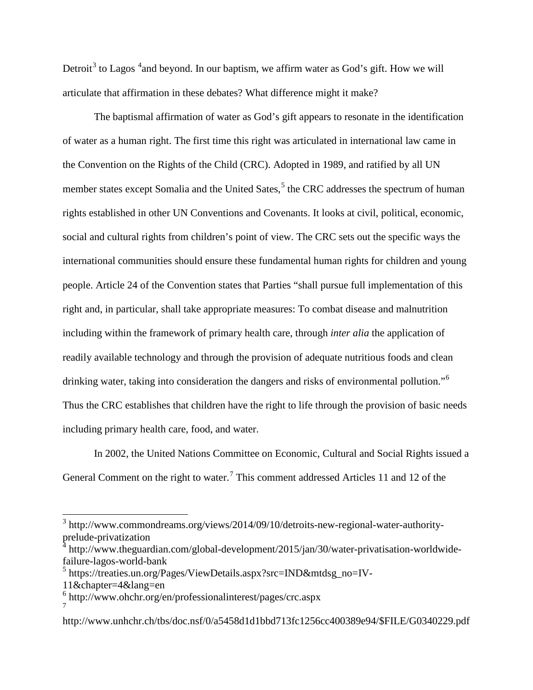Detroit<sup>[3](#page-2-0)</sup> to Lagos  $4$  and beyond. In our baptism, we affirm water as God's gift. How we will articulate that affirmation in these debates? What difference might it make?

The baptismal affirmation of water as God's gift appears to resonate in the identification of water as a human right. The first time this right was articulated in international law came in the Convention on the Rights of the Child (CRC). Adopted in 1989, and ratified by all UN member states except Somalia and the United Sates, $<sup>5</sup>$  $<sup>5</sup>$  $<sup>5</sup>$  the CRC addresses the spectrum of human</sup> rights established in other UN Conventions and Covenants. It looks at civil, political, economic, social and cultural rights from children's point of view. The CRC sets out the specific ways the international communities should ensure these fundamental human rights for children and young people. Article 24 of the Convention states that Parties "shall pursue full implementation of this right and, in particular, shall take appropriate measures: To combat disease and malnutrition including within the framework of primary health care, through *inter alia* the application of readily available technology and through the provision of adequate nutritious foods and clean drinking water, taking into consideration the dangers and risks of environmental pollution."<sup>[6](#page-2-3)</sup> Thus the CRC establishes that children have the right to life through the provision of basic needs including primary health care, food, and water.

In 2002, the United Nations Committee on Economic, Cultural and Social Rights issued a General Comment on the right to water.<sup>[7](#page-2-4)</sup> This comment addressed Articles 11 and 12 of the

<span id="page-2-0"></span><sup>3</sup> http://www.commondreams.org/views/2014/09/10/detroits-new-regional-water-authorityprelude-privatization

<span id="page-2-1"></span>http://www.theguardian.com/global-development/2015/jan/30/water-privatisation-worldwidefailure-lagos-world-bank

<span id="page-2-2"></span><sup>5</sup> https://treaties.un.org/Pages/ViewDetails.aspx?src=IND&mtdsg\_no=IV-

<sup>11&</sup>amp;chapter=4&lang=en

<span id="page-2-3"></span><sup>6</sup> http://www.ohchr.org/en/professionalinterest/pages/crc.aspx 7

<span id="page-2-4"></span>http://www.unhchr.ch/tbs/doc.nsf/0/a5458d1d1bbd713fc1256cc400389e94/\$FILE/G0340229.pdf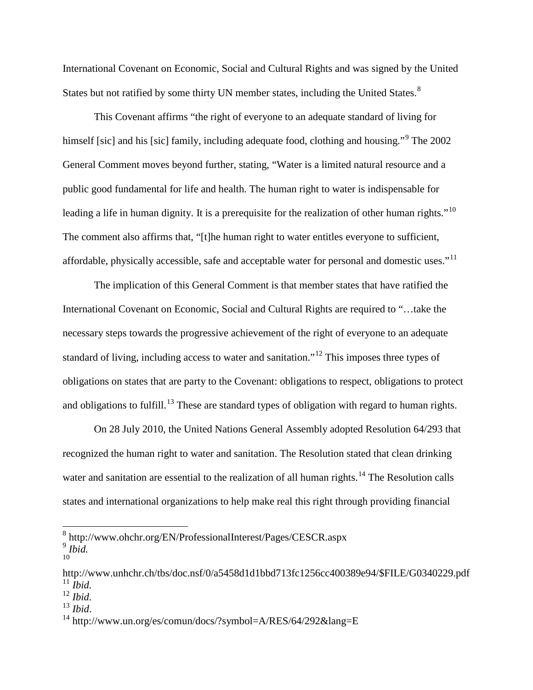International Covenant on Economic, Social and Cultural Rights and was signed by the United States but not ratified by some thirty UN member states, including the United States.<sup>[8](#page-3-0)</sup>

This Covenant affirms "the right of everyone to an adequate standard of living for himself [sic] and his [sic] family, including adequate food, clothing and housing."<sup>[9](#page-3-1)</sup> The 2002 General Comment moves beyond further, stating, "Water is a limited natural resource and a public good fundamental for life and health. The human right to water is indispensable for leading a life in human dignity. It is a prerequisite for the realization of other human rights."<sup>[10](#page-3-2)</sup> The comment also affirms that, "[t]he human right to water entitles everyone to sufficient, affordable, physically accessible, safe and acceptable water for personal and domestic uses."<sup>[11](#page-3-3)</sup>

The implication of this General Comment is that member states that have ratified the International Covenant on Economic, Social and Cultural Rights are required to "…take the necessary steps towards the progressive achievement of the right of everyone to an adequate standard of living, including access to water and sanitation."[12](#page-3-4) This imposes three types of obligations on states that are party to the Covenant: obligations to respect, obligations to protect and obligations to fulfill.<sup>[13](#page-3-5)</sup> These are standard types of obligation with regard to human rights.

On 28 July 2010, the United Nations General Assembly adopted Resolution 64/293 that recognized the human right to water and sanitation. The Resolution stated that clean drinking water and sanitation are essential to the realization of all human rights.<sup>[14](#page-3-6)</sup> The Resolution calls states and international organizations to help make real this right through providing financial

<span id="page-3-5"></span>

<span id="page-3-1"></span><span id="page-3-0"></span><sup>8</sup> http://www.ohchr.org/EN/ProfessionalInterest/Pages/CESCR.aspx <sup>9</sup> *Ibid.* 10

<span id="page-3-2"></span>http://www.unhchr.ch/tbs/doc.nsf/0/a5458d1d1bbd713fc1256cc400389e94/\$FILE/G0340229.pdf  $^{11}$ *Ibid.* 

<span id="page-3-4"></span><span id="page-3-3"></span><sup>12</sup> *Ibid.*

<span id="page-3-6"></span><sup>&</sup>lt;sup>14</sup> http://www.un.org/es/comun/docs/?symbol=A/RES/64/292&lang=E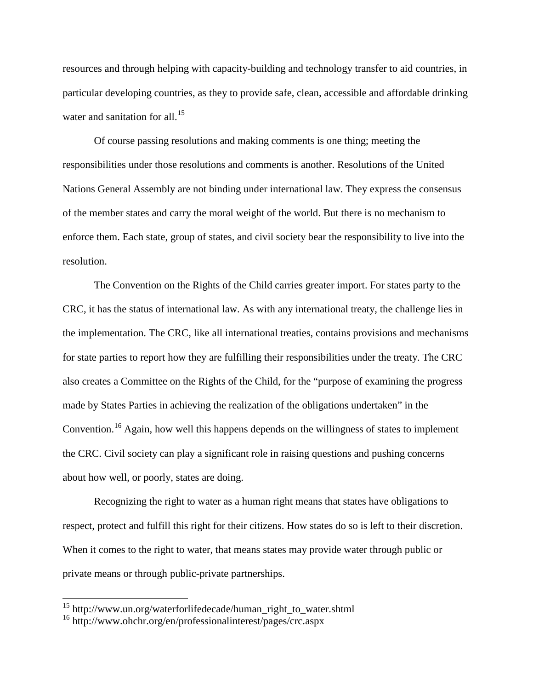resources and through helping with capacity-building and technology transfer to aid countries, in particular developing countries, as they to provide safe, clean, accessible and affordable drinking water and sanitation for all.<sup>[15](#page-4-0)</sup>

Of course passing resolutions and making comments is one thing; meeting the responsibilities under those resolutions and comments is another. Resolutions of the United Nations General Assembly are not binding under international law. They express the consensus of the member states and carry the moral weight of the world. But there is no mechanism to enforce them. Each state, group of states, and civil society bear the responsibility to live into the resolution.

The Convention on the Rights of the Child carries greater import. For states party to the CRC, it has the status of international law. As with any international treaty, the challenge lies in the implementation. The CRC, like all international treaties, contains provisions and mechanisms for state parties to report how they are fulfilling their responsibilities under the treaty. The CRC also creates a Committee on the Rights of the Child, for the "purpose of examining the progress made by States Parties in achieving the realization of the obligations undertaken" in the Convention.[16](#page-4-1) Again, how well this happens depends on the willingness of states to implement the CRC. Civil society can play a significant role in raising questions and pushing concerns about how well, or poorly, states are doing.

Recognizing the right to water as a human right means that states have obligations to respect, protect and fulfill this right for their citizens. How states do so is left to their discretion. When it comes to the right to water, that means states may provide water through public or private means or through public-private partnerships.

<span id="page-4-0"></span><sup>15</sup> http://www.un.org/waterforlifedecade/human\_right\_to\_water.shtml

<span id="page-4-1"></span><sup>16</sup> http://www.ohchr.org/en/professionalinterest/pages/crc.aspx